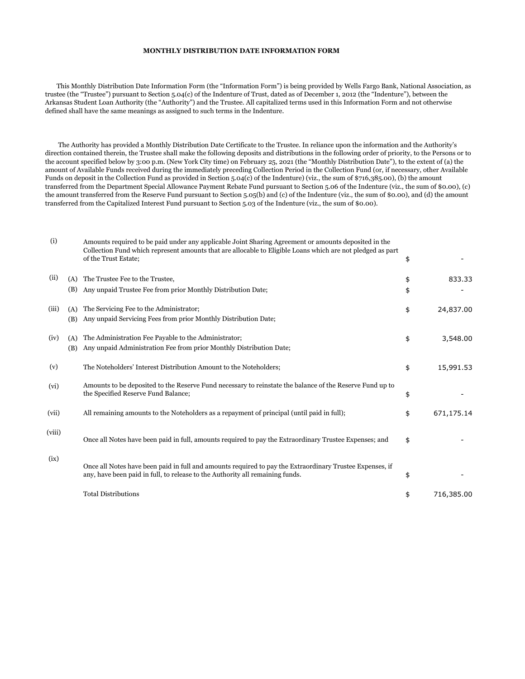## **MONTHLY DISTRIBUTION DATE INFORMATION FORM**

 This Monthly Distribution Date Information Form (the "Information Form") is being provided by Wells Fargo Bank, National Association, as trustee (the "Trustee") pursuant to Section 5.04(c) of the Indenture of Trust, dated as of December 1, 2012 (the "Indenture"), between the Arkansas Student Loan Authority (the "Authority") and the Trustee. All capitalized terms used in this Information Form and not otherwise defined shall have the same meanings as assigned to such terms in the Indenture.

 The Authority has provided a Monthly Distribution Date Certificate to the Trustee. In reliance upon the information and the Authority's direction contained therein, the Trustee shall make the following deposits and distributions in the following order of priority, to the Persons or to the account specified below by 3:00 p.m. (New York City time) on February 25, 2021 (the "Monthly Distribution Date"), to the extent of (a) the amount of Available Funds received during the immediately preceding Collection Period in the Collection Fund (or, if necessary, other Available Funds on deposit in the Collection Fund as provided in Section 5.04(c) of the Indenture) (viz., the sum of \$716,385.00), (b) the amount transferred from the Department Special Allowance Payment Rebate Fund pursuant to Section 5.06 of the Indenture (viz., the sum of \$0.00), (c) the amount transferred from the Reserve Fund pursuant to Section 5.05(b) and (c) of the Indenture (viz., the sum of \$0.00), and (d) the amount transferred from the Capitalized Interest Fund pursuant to Section 5.03 of the Indenture (viz., the sum of \$0.00).

| (i)    |            | Amounts required to be paid under any applicable Joint Sharing Agreement or amounts deposited in the<br>Collection Fund which represent amounts that are allocable to Eligible Loans which are not pledged as part<br>of the Trust Estate; | \$       |            |
|--------|------------|--------------------------------------------------------------------------------------------------------------------------------------------------------------------------------------------------------------------------------------------|----------|------------|
| (ii)   | (A)<br>(B) | The Trustee Fee to the Trustee,<br>Any unpaid Trustee Fee from prior Monthly Distribution Date;                                                                                                                                            | \$<br>\$ | 833.33     |
| (iii)  | (A)<br>(B) | The Servicing Fee to the Administrator;<br>Any unpaid Servicing Fees from prior Monthly Distribution Date;                                                                                                                                 | \$       | 24,837.00  |
| (iv)   | (A)<br>(B) | The Administration Fee Payable to the Administrator;<br>Any unpaid Administration Fee from prior Monthly Distribution Date;                                                                                                                | \$       | 3,548.00   |
| (v)    |            | The Noteholders' Interest Distribution Amount to the Noteholders;                                                                                                                                                                          | \$       | 15,991.53  |
| (vi)   |            | Amounts to be deposited to the Reserve Fund necessary to reinstate the balance of the Reserve Fund up to<br>the Specified Reserve Fund Balance;                                                                                            | \$       |            |
| (vii)  |            | All remaining amounts to the Noteholders as a repayment of principal (until paid in full);                                                                                                                                                 | \$       | 671,175.14 |
| (viii) |            | Once all Notes have been paid in full, amounts required to pay the Extraordinary Trustee Expenses; and                                                                                                                                     | \$       |            |
| (ix)   |            | Once all Notes have been paid in full and amounts required to pay the Extraordinary Trustee Expenses, if<br>any, have been paid in full, to release to the Authority all remaining funds.                                                  | \$       |            |
|        |            | <b>Total Distributions</b>                                                                                                                                                                                                                 | \$       | 716,385.00 |